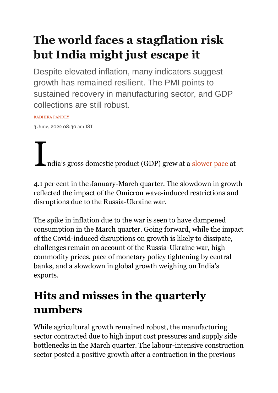# **The world faces a stagflation risk but India might just escape it**

Despite elevated inflation, many indicators suggest growth has remained resilient. The PMI points to sustained recovery in manufacturing sector, and GDP collections are still robust.

[RADHIKA PANDEY](https://theprint.in/author/radhika-pandey/)

3 June, 2022 08:30 am IST

India's gross domestic product (GDP) grew at a [slower pace](https://www.mospi.gov.in/documents/213904/416359/Press%20Note_PEFY22m1653998874449.pdf/9616eef9-71b9-7522-808a-5fd438857454) at

4.1 per cent in the January-March quarter. The slowdown in growth reflected the impact of the Omicron wave-induced restrictions and disruptions due to the Russia-Ukraine war.

The spike in inflation due to the war is seen to have dampened consumption in the March quarter. Going forward, while the impact of the Covid-induced disruptions on growth is likely to dissipate, challenges remain on account of the Russia-Ukraine war, high commodity prices, pace of monetary policy tightening by central banks, and a slowdown in global growth weighing on India's exports.

## **Hits and misses in the quarterly numbers**

While agricultural growth remained robust, the manufacturing sector contracted due to high input cost pressures and supply side bottlenecks in the March quarter. The labour-intensive construction sector posted a positive growth after a contraction in the previous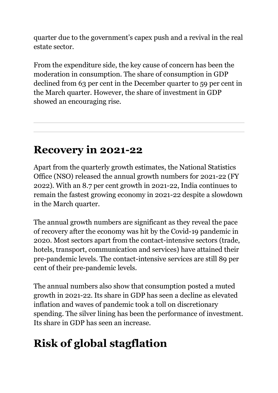quarter due to the government's capex push and a revival in the real estate sector.

From the expenditure side, the key cause of concern has been the moderation in consumption. The share of consumption in GDP declined from 63 per cent in the December quarter to 59 per cent in the March quarter. However, the share of investment in GDP showed an encouraging rise.

#### **Recovery in 2021-22**

Apart from the quarterly growth estimates, the National Statistics Office (NSO) released the annual growth numbers for 2021-22 (FY 2022). With an 8.7 per cent growth in 2021-22, India continues to remain the fastest growing economy in 2021-22 despite a slowdown in the March quarter.

The annual growth numbers are significant as they reveal the pace of recovery after the economy was hit by the Covid-19 pandemic in 2020. Most sectors apart from the contact-intensive sectors (trade, hotels, transport, communication and services) have attained their pre-pandemic levels. The contact-intensive services are still 89 per cent of their pre-pandemic levels.

The annual numbers also show that consumption posted a muted growth in 2021-22. Its share in GDP has seen a decline as elevated inflation and waves of pandemic took a toll on discretionary spending. The silver lining has been the performance of investment. Its share in GDP has seen an increase.

## **Risk of global stagflation**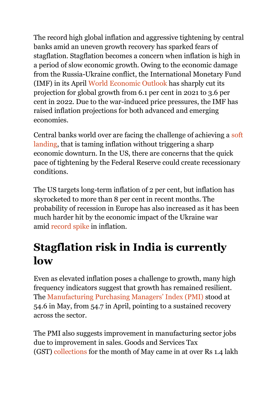The record high global inflation and aggressive tightening by central banks amid an uneven growth recovery has sparked fears of stagflation. Stagflation becomes a concern when inflation is high in a period of slow economic growth. Owing to the economic damage from the Russia-Ukraine conflict, the International Monetary Fund (IMF) in its April [World Economic Outlook](https://www.imf.org/en/Publications/WEO/Issues/2022/04/19/world-economic-outlook-april-2022) has sharply cut its projection for global growth from 6.1 per cent in 2021 to 3.6 per cent in 2022. Due to the war-induced price pressures, the IMF has raised inflation projections for both advanced and emerging economies.

Central banks world over are facing the challenge of achieving a [soft](https://www.cnbc.com/2022/05/03/the-feds-aggressive-hiking-campaign-will-lead-to-a-recession-according-to-cnbc-survey.html)  [landing,](https://www.cnbc.com/2022/05/03/the-feds-aggressive-hiking-campaign-will-lead-to-a-recession-according-to-cnbc-survey.html) that is taming inflation without triggering a sharp economic downturn. In the US, there are concerns that the quick pace of tightening by the Federal Reserve could create recessionary conditions.

The US targets long-term inflation of 2 per cent, but inflation has skyrocketed to more than 8 per cent in recent months. The probability of recession in Europe has also increased as it has been much harder hit by the economic impact of the Ukraine war amid [record spike](https://ec.europa.eu/eurostat/documents/2995521/14636256/2-31052022-AP-EN.pdf/3ba84e21-80e6-fc2f-6354-2b83b1ec5d35?t=1653913778479) in inflation.

### **Stagflation risk in India is currently low**

Even as elevated inflation poses a challenge to growth, many high frequency indicators suggest that growth has remained resilient. The [Manufacturing Purchasing Managers' Index \(PMI\)](https://indianexpress.com/article/business/indias-manufacturing-sector-growth-high-inflation-7946921/) stood at 54.6 in May, from 54.7 in April, pointing to a sustained recovery across the sector.

The PMI also suggests improvement in manufacturing sector jobs due to improvement in sales. Goods and Services Tax (GST) [collections](https://timesofindia.indiatimes.com/business/india-business/gst-collection-in-may-at-over-rs-1-40-lakh-crore-15-lower-than-last-month/articleshow/91937995.cms) for the month of May came in at over Rs 1.4 lakh